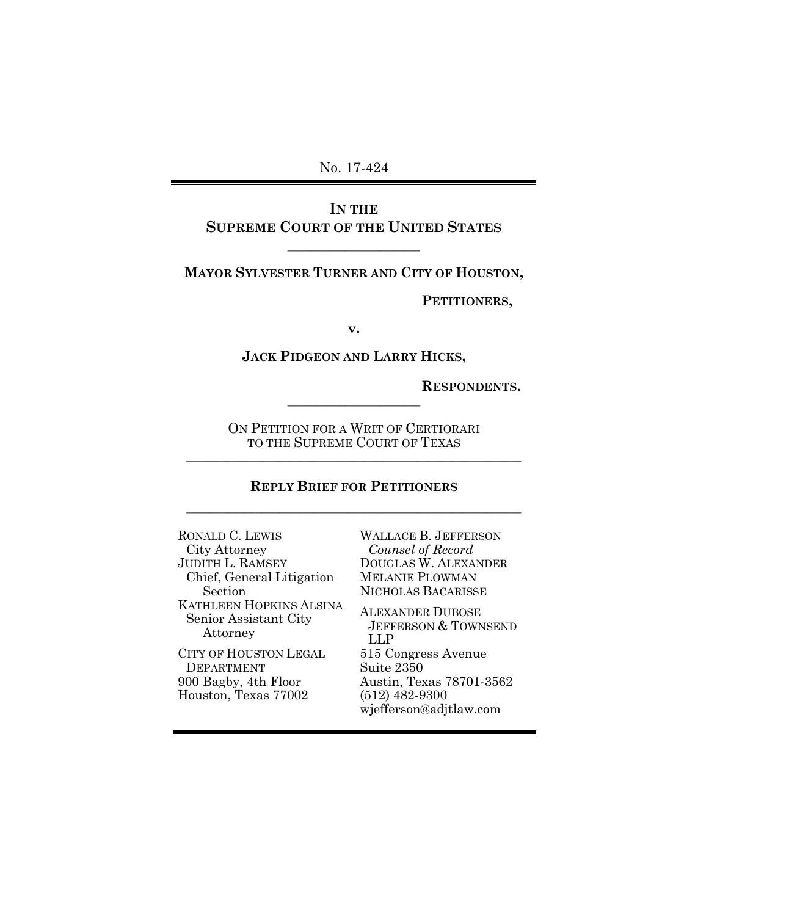## **IN THE SUPREME COURT OF THE UNITED STATES**

 $\frac{1}{2}$  ,  $\frac{1}{2}$  ,  $\frac{1}{2}$  ,  $\frac{1}{2}$  ,  $\frac{1}{2}$  ,  $\frac{1}{2}$  ,  $\frac{1}{2}$  ,  $\frac{1}{2}$  ,  $\frac{1}{2}$  ,  $\frac{1}{2}$  ,  $\frac{1}{2}$  ,  $\frac{1}{2}$  ,  $\frac{1}{2}$  ,  $\frac{1}{2}$  ,  $\frac{1}{2}$  ,  $\frac{1}{2}$  ,  $\frac{1}{2}$  ,  $\frac{1}{2}$  ,  $\frac{1$ 

**MAYOR SYLVESTER TURNER AND CITY OF HOUSTON,**

**PETITIONERS,**

**v.**

**JACK PIDGEON AND LARRY HICKS,**

**RESPONDENTS.**

ON PETITION FOR A WRIT OF CERTIORARI TO THE SUPREME COURT OF TEXAS \_\_\_\_\_\_\_\_\_\_\_\_\_\_\_\_\_\_\_\_\_\_\_\_\_\_\_\_\_\_\_\_\_\_\_\_\_\_\_\_\_\_\_\_\_\_\_\_\_\_\_\_\_\_\_\_\_\_

 $\frac{1}{2}$  ,  $\frac{1}{2}$  ,  $\frac{1}{2}$  ,  $\frac{1}{2}$  ,  $\frac{1}{2}$  ,  $\frac{1}{2}$  ,  $\frac{1}{2}$  ,  $\frac{1}{2}$  ,  $\frac{1}{2}$  ,  $\frac{1}{2}$  ,  $\frac{1}{2}$  ,  $\frac{1}{2}$  ,  $\frac{1}{2}$  ,  $\frac{1}{2}$  ,  $\frac{1}{2}$  ,  $\frac{1}{2}$  ,  $\frac{1}{2}$  ,  $\frac{1}{2}$  ,  $\frac{1$ 

# **REPLY BRIEF FOR PETITIONERS** \_\_\_\_\_\_\_\_\_\_\_\_\_\_\_\_\_\_\_\_\_\_\_\_\_\_\_\_\_\_\_\_\_\_\_\_\_\_\_\_\_\_\_\_\_\_\_\_\_\_\_\_\_\_\_\_\_\_

RONALD C. LEWIS City Attorney JUDITH L. RAMSEY Chief, General Litigation Section KATHLEEN HOPKINS ALSINA Senior Assistant City Attorney CITY OF HOUSTON LEGAL DEPARTMENT 900 Bagby, 4th Floor Houston, Texas 77002

WALLACE B. JEFFERSON *Counsel of Record* DOUGLAS W. ALEXANDER MELANIE PLOWMAN NICHOLAS BACARISSE

ALEXANDER DUBOSE JEFFERSON & TOWNSEND LLP 515 Congress Avenue Suite 2350 Austin, Texas 78701-3562 (512) 482-9300 wjefferson@adjtlaw.com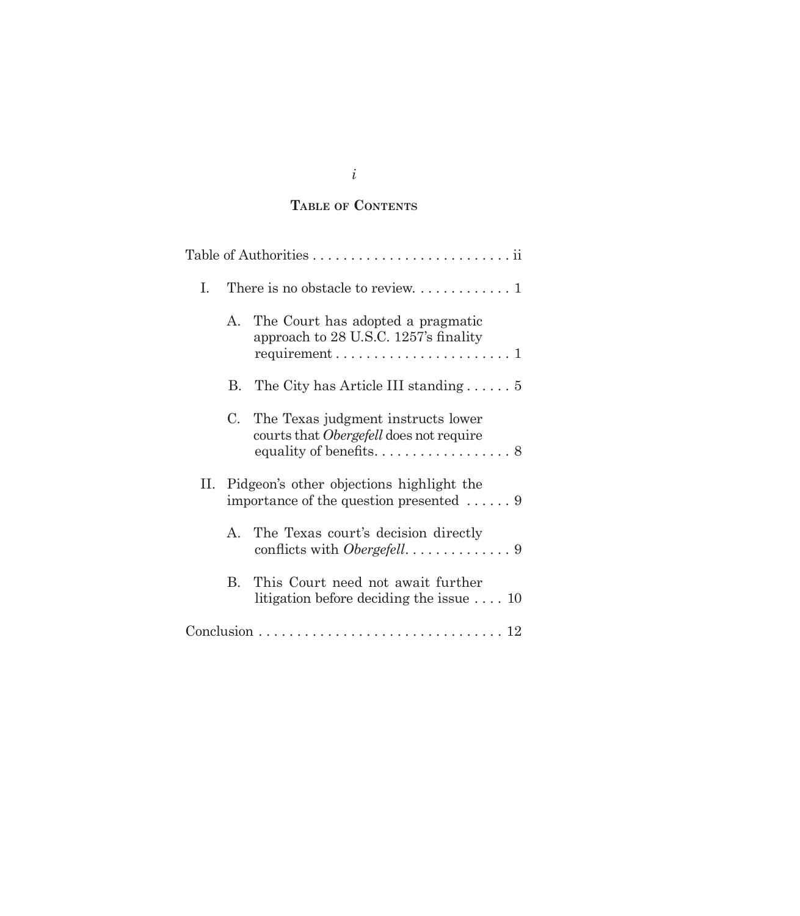## **Table of Contents**

| Ι. |             |                                                                                                 |
|----|-------------|-------------------------------------------------------------------------------------------------|
|    | $A_{-}$     | The Court has adopted a pragmatic<br>approach to 28 U.S.C. 1257's finality                      |
|    | В.          | The City has Article III standing $\ldots \ldots 5$                                             |
|    | $C_{\cdot}$ | The Texas judgment instructs lower<br>courts that <i>Obergefell</i> does not require            |
|    |             | II. Pidgeon's other objections highlight the<br>importance of the question presented $\ldots$ 9 |
|    | $A_{\cdot}$ | The Texas court's decision directly                                                             |
|    | B.          | This Court need not await further<br>litigation before deciding the issue $\dots$ 10            |
|    |             |                                                                                                 |

*i*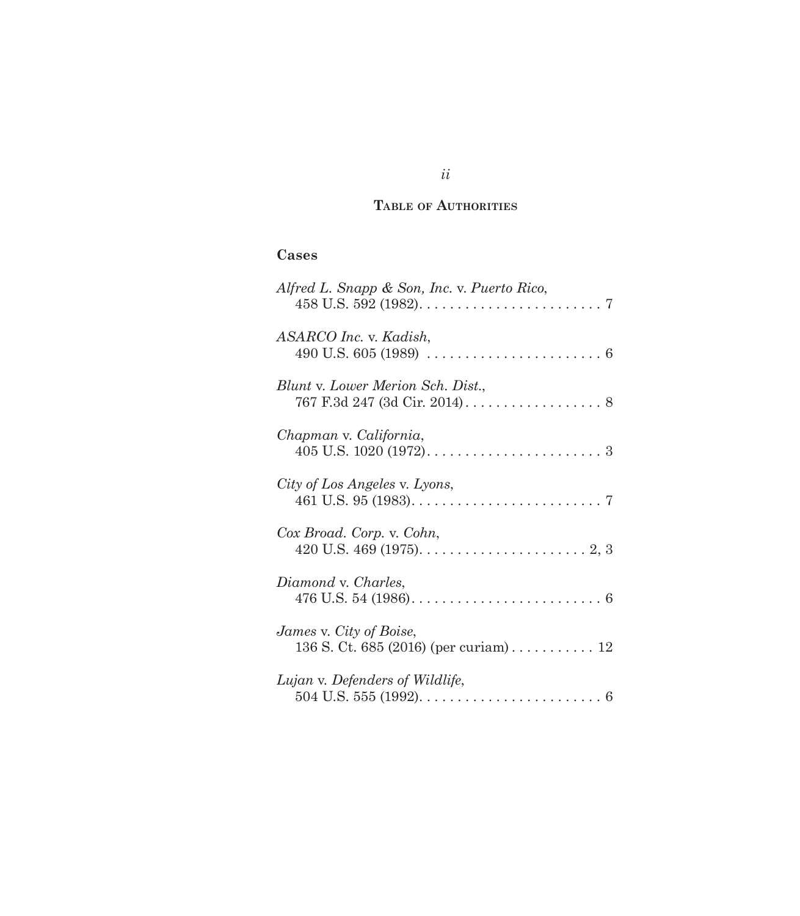## **Table of Authorities**

# **Cases**

| Alfred L. Snapp & Son, Inc. v. Puerto Rico,                                                                    |
|----------------------------------------------------------------------------------------------------------------|
| ASARCO Inc. v. Kadish,<br>490 U.S. 605 (1989) $\ldots \ldots \ldots \ldots \ldots \ldots \ldots \ldots \ldots$ |
| Blunt v. Lower Merion Sch. Dist.,                                                                              |
| Chapman v. California,                                                                                         |
| City of Los Angeles v. Lyons,                                                                                  |
| Cox Broad. Corp. v. Cohn,<br>420 U.S. 469 (1975). $\dots \dots \dots \dots \dots \dots \dots \dots \dots$      |
| Diamond v. Charles,                                                                                            |
| James v. City of Boise,<br>136 S. Ct. 685 (2016) (per curiam) 12                                               |
| Lujan v. Defenders of Wildlife,                                                                                |

# *ii*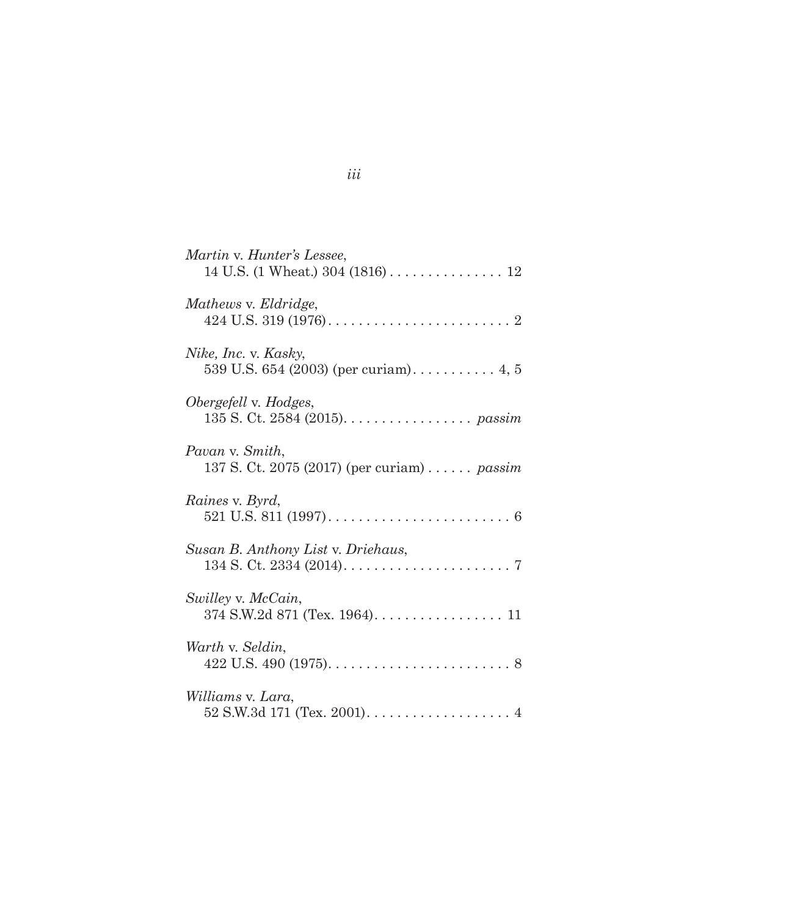| Martin v. Hunter's Lessee,                                                            |
|---------------------------------------------------------------------------------------|
| Mathews v. Eldridge,                                                                  |
| Nike, Inc. v. Kasky,<br>539 U.S. 654 (2003) (per curiam) 4, 5                         |
| Obergefell v. Hodges,<br>135 S. Ct. 2584 (2015). $\ldots \ldots \ldots \ldots$ passim |
| Pavan v. Smith,<br>137 S. Ct. 2075 (2017) (per curiam)  passim                        |
| Raines v. Byrd,                                                                       |
| Susan B. Anthony List v. Driehaus,                                                    |
| Swilley v. McCain,<br>374 S.W.2d 871 (Tex. 1964). 11                                  |
| Warth v. Seldin,                                                                      |
| Williams v. Lara,                                                                     |

# *iii*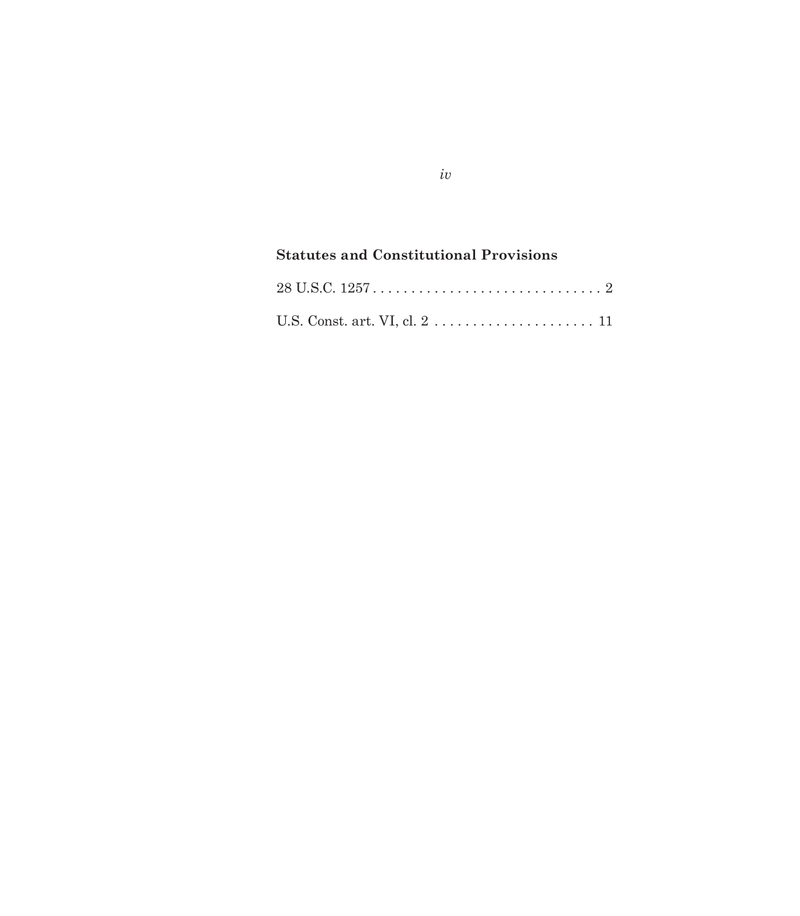# **Statutes and Constitutional Provisions**

*iv*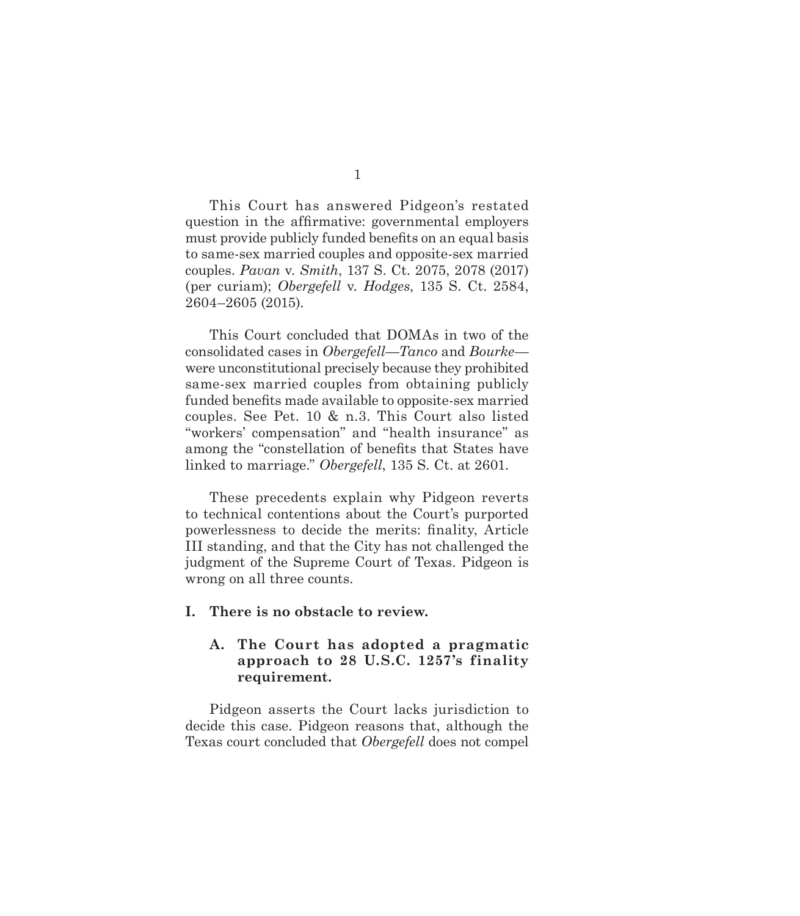<span id="page-5-0"></span>This Court has answered Pidgeon's restated question in the affirmative: governmental employers must provide publicly funded benefits on an equal basis to same-sex married couples and opposite-sex married couples. *Pavan* v. *Smith*, 137 S. Ct. 2075, 2078 (2017) (per curiam); *Obergefell* v. *Hodges*, 135 S. Ct. 2584, 2604–2605 (2015).

This Court concluded that DOMAs in two of the consolidated cases in *Obergefell*—*Tanco* and *Bourke* were unconstitutional precisely because they prohibited same-sex married couples from obtaining publicly funded benefits made available to opposite-sex married couples. See Pet. 10 & n.3. This Court also listed "workers' compensation" and "health insurance" as among the "constellation of benefits that States have linked to marriage." *Obergefell*, 135 S. Ct. at 2601.

These precedents explain why Pidgeon reverts to technical contentions about the Court's purported powerlessness to decide the merits: finality, Article III standing, and that the City has not challenged the judgment of the Supreme Court of Texas. Pidgeon is wrong on all three counts.

#### **I. There is no obstacle to review.**

## **A. The Court has adopted a pragmatic approach to 28 U.S.C. 1257's finality requirement.**

Pidgeon asserts the Court lacks jurisdiction to decide this case. Pidgeon reasons that, although the Texas court concluded that *Obergefell* does not compel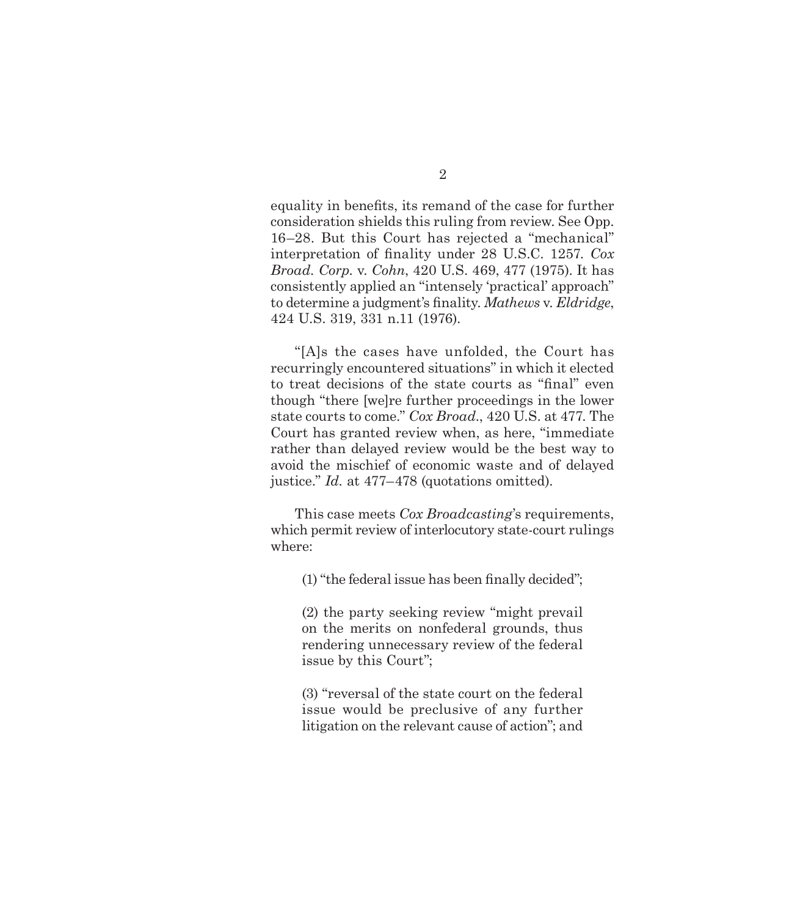equality in benefits, its remand of the case for further consideration shields this ruling from review. See Opp. 16–28. But this Court has rejected a "mechanical" interpretation of finality under 28 U.S.C. 1257. *Cox Broad. Corp.* v. *Cohn*, 420 U.S. 469, 477 (1975). It has consistently applied an "intensely 'practical' approach" to determine a judgment's finality. *Mathews* v. *Eldridge*, 424 U.S. 319, 331 n.11 (1976).

"[A]s the cases have unfolded, the Court has recurringly encountered situations" in which it elected to treat decisions of the state courts as "final" even though "there [we]re further proceedings in the lower state courts to come." *Cox Broad.*, 420 U.S. at 477. The Court has granted review when, as here, "immediate rather than delayed review would be the best way to avoid the mischief of economic waste and of delayed justice." *Id.* at 477–478 (quotations omitted).

This case meets *Cox Broadcasting*'s requirements, which permit review of interlocutory state-court rulings where:

(1) "the federal issue has been finally decided";

(2) the party seeking review "might prevail on the merits on nonfederal grounds, thus rendering unnecessary review of the federal issue by this Court";

(3) "reversal of the state court on the federal issue would be preclusive of any further litigation on the relevant cause of action"; and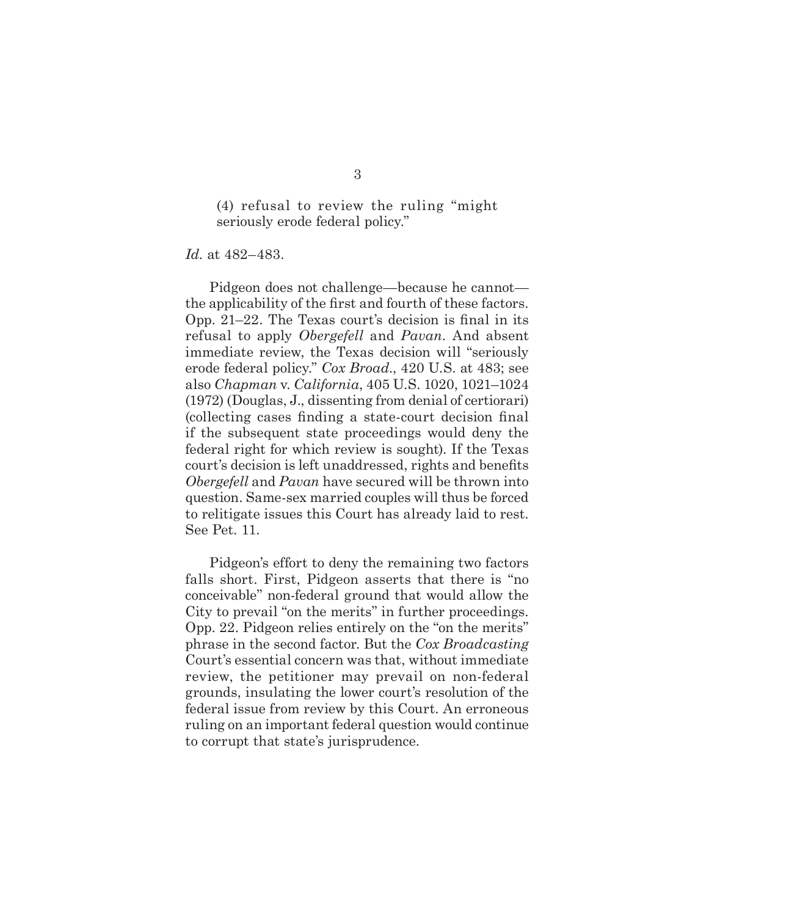(4) refusal to review the ruling "might seriously erode federal policy."

*Id.* at 482–483.

Pidgeon does not challenge—because he cannot the applicability of the first and fourth of these factors. Opp. 21–22. The Texas court's decision is final in its refusal to apply *Obergefell* and *Pavan*. And absent immediate review, the Texas decision will "seriously erode federal policy." *Cox Broad.*, 420 U.S. at 483; see also *Chapman* v. *California*, 405 U.S. 1020, 1021–1024 (1972) (Douglas, J., dissenting from denial of certiorari) (collecting cases finding a state-court decision final if the subsequent state proceedings would deny the federal right for which review is sought). If the Texas court's decision is left unaddressed, rights and benefits *Obergefell* and *Pavan* have secured will be thrown into question. Same-sex married couples will thus be forced to relitigate issues this Court has already laid to rest. See Pet. 11.

Pidgeon's effort to deny the remaining two factors falls short. First, Pidgeon asserts that there is "no conceivable" non-federal ground that would allow the City to prevail "on the merits" in further proceedings. Opp. 22. Pidgeon relies entirely on the "on the merits" phrase in the second factor. But the *Cox Broadcasting* Court's essential concern was that, without immediate review, the petitioner may prevail on non-federal grounds, insulating the lower court's resolution of the federal issue from review by this Court. An erroneous ruling on an important federal question would continue to corrupt that state's jurisprudence.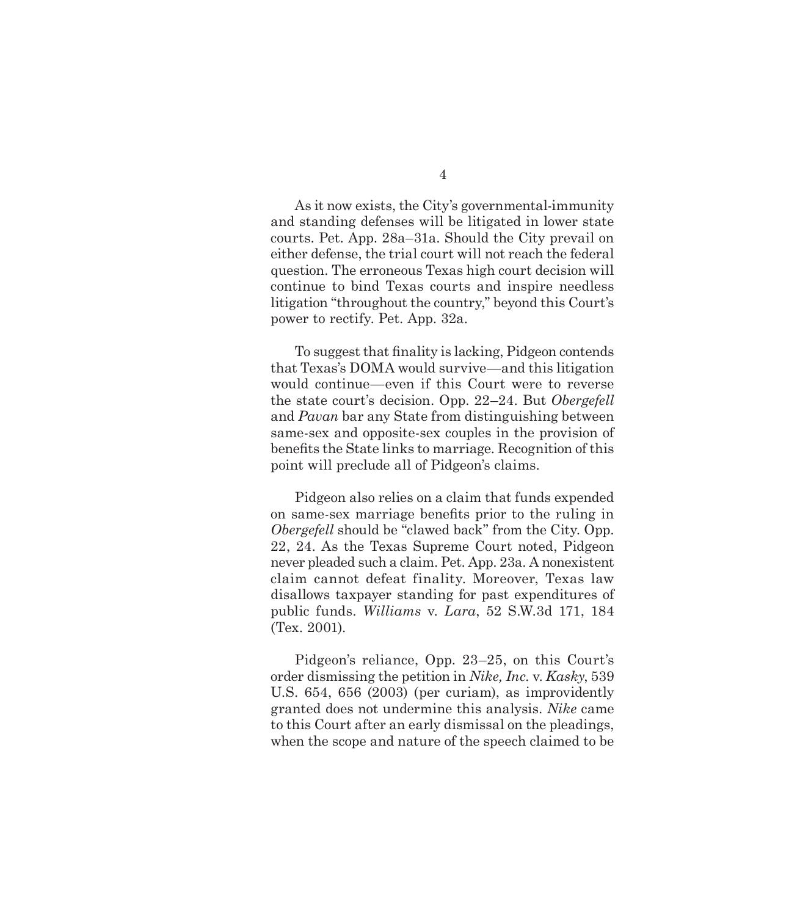As it now exists, the City's governmental-immunity and standing defenses will be litigated in lower state courts. Pet. App. 28a–31a. Should the City prevail on either defense, the trial court will not reach the federal question. The erroneous Texas high court decision will continue to bind Texas courts and inspire needless litigation "throughout the country," beyond this Court's power to rectify. Pet. App. 32a.

To suggest that finality is lacking, Pidgeon contends that Texas's DOMA would survive—and this litigation would continue—even if this Court were to reverse the state court's decision. Opp. 22–24. But *Obergefell*  and *Pavan* bar any State from distinguishing between same-sex and opposite-sex couples in the provision of benefits the State links to marriage. Recognition of this point will preclude all of Pidgeon's claims.

Pidgeon also relies on a claim that funds expended on same-sex marriage benefits prior to the ruling in *Obergefell* should be "clawed back" from the City. Opp. 22, 24. As the Texas Supreme Court noted, Pidgeon never pleaded such a claim. Pet. App. 23a. A nonexistent claim cannot defeat finality. Moreover, Texas law disallows taxpayer standing for past expenditures of public funds. *Williams* v. *Lara*, 52 S.W.3d 171, 184 (Tex. 2001).

Pidgeon's reliance, Opp. 23–25, on this Court's order dismissing the petition in *Nike, Inc.* v. *Kasky*, 539 U.S. 654, 656 (2003) (per curiam), as improvidently granted does not undermine this analysis. *Nike* came to this Court after an early dismissal on the pleadings, when the scope and nature of the speech claimed to be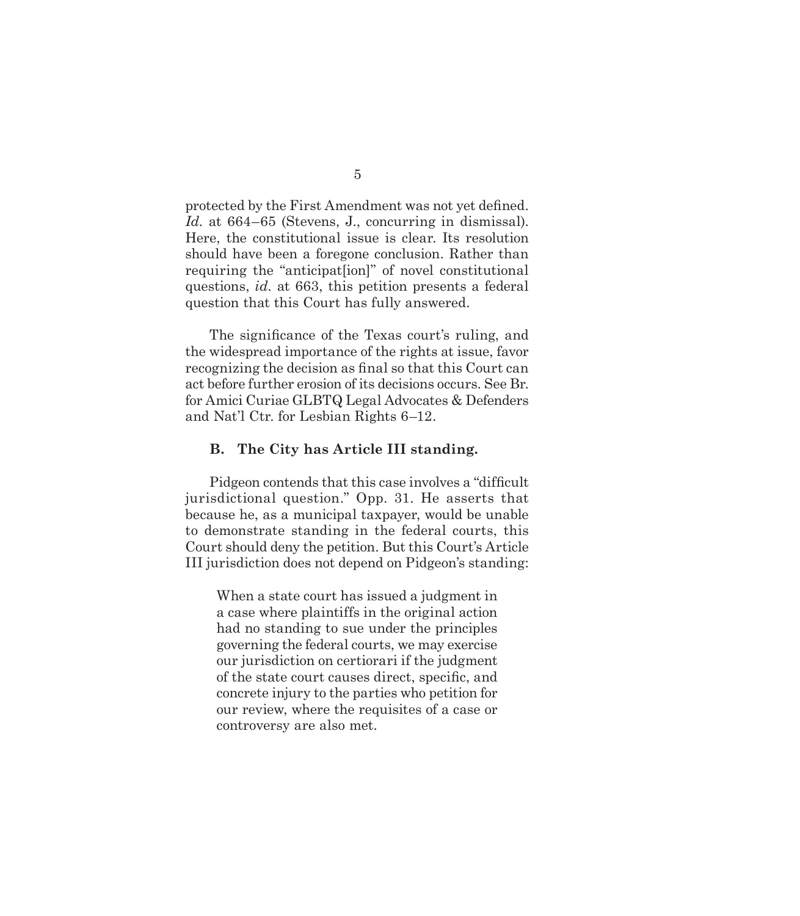<span id="page-9-0"></span>protected by the First Amendment was not yet defined. *Id.* at 664–65 (Stevens, J., concurring in dismissal). Here, the constitutional issue is clear. Its resolution should have been a foregone conclusion. Rather than requiring the "anticipat[ion]" of novel constitutional questions, *id.* at 663, this petition presents a federal question that this Court has fully answered.

The significance of the Texas court's ruling, and the widespread importance of the rights at issue, favor recognizing the decision as final so that this Court can act before further erosion of its decisions occurs. See Br. for Amici Curiae GLBTQ Legal Advocates & Defenders and Nat'l Ctr. for Lesbian Rights 6–12.

#### **B. The City has Article III standing.**

Pidgeon contends that this case involves a "difficult jurisdictional question." Opp. 31. He asserts that because he, as a municipal taxpayer, would be unable to demonstrate standing in the federal courts, this Court should deny the petition. But this Court's Article III jurisdiction does not depend on Pidgeon's standing:

When a state court has issued a judgment in a case where plaintiffs in the original action had no standing to sue under the principles governing the federal courts, we may exercise our jurisdiction on certiorari if the judgment of the state court causes direct, specific, and concrete injury to the parties who petition for our review, where the requisites of a case or controversy are also met.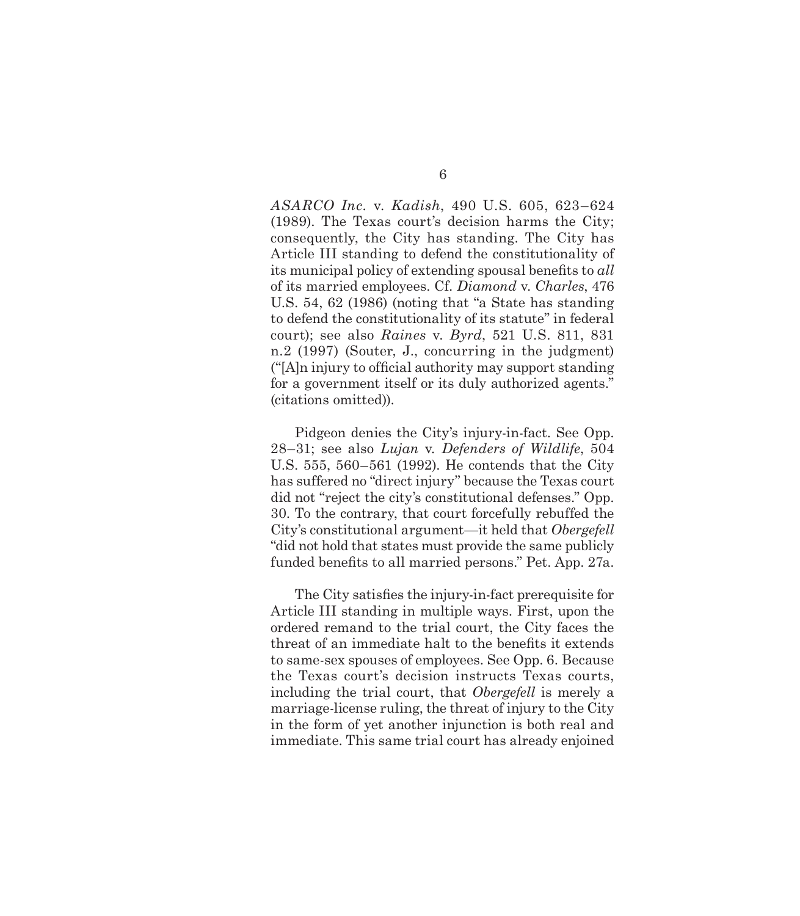*ASARCO Inc.* v. *Kadish*, 490 U.S. 605, 623–624 (1989). The Texas court's decision harms the City; consequently, the City has standing. The City has Article III standing to defend the constitutionality of its municipal policy of extending spousal benefits to *all* of its married employees. Cf. *Diamond* v. *Charles*, 476 U.S. 54, 62 (1986) (noting that "a State has standing to defend the constitutionality of its statute" in federal court); see also *Raines* v. *Byrd*, 521 U.S. 811, 831 n.2 (1997) (Souter, J., concurring in the judgment) ("[A]n injury to official authority may support standing for a government itself or its duly authorized agents." (citations omitted)).

Pidgeon denies the City's injury-in-fact. See Opp. 28–31; see also *Lujan* v*. Defenders of Wildlife*, 504 U.S. 555, 560–561 (1992). He contends that the City has suffered no "direct injury" because the Texas court did not "reject the city's constitutional defenses." Opp. 30. To the contrary, that court forcefully rebuffed the City's constitutional argument—it held that *Obergefell* "did not hold that states must provide the same publicly funded benefits to all married persons." Pet. App. 27a.

The City satisfies the injury-in-fact prerequisite for Article III standing in multiple ways. First, upon the ordered remand to the trial court, the City faces the threat of an immediate halt to the benefits it extends to same-sex spouses of employees. See Opp. 6. Because the Texas court's decision instructs Texas courts, including the trial court, that *Obergefell* is merely a marriage-license ruling, the threat of injury to the City in the form of yet another injunction is both real and immediate. This same trial court has already enjoined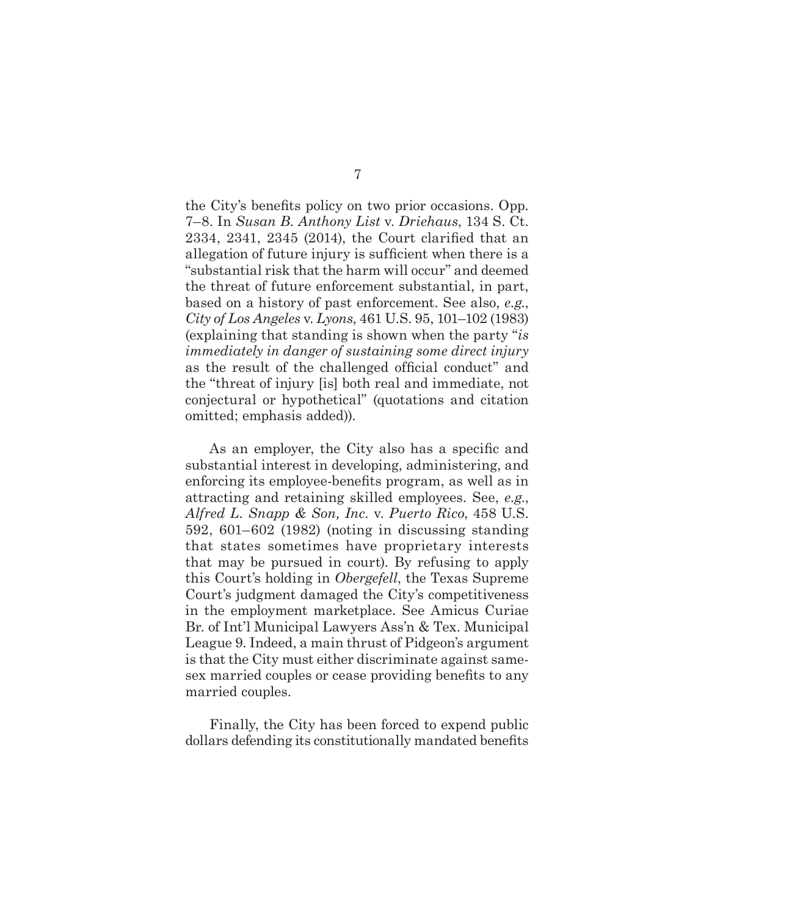the City's benefits policy on two prior occasions. Opp. 7–8. In *Susan B. Anthony List* v. *Driehaus*, 134 S. Ct. 2334, 2341, 2345 (2014), the Court clarified that an allegation of future injury is sufficient when there is a "substantial risk that the harm will occur" and deemed the threat of future enforcement substantial, in part, based on a history of past enforcement. See also, *e.g.*, *City of Los Angeles* v. *Lyons*, 461 U.S. 95, 101–102 (1983) (explaining that standing is shown when the party "*is immediately in danger of sustaining some direct injury* as the result of the challenged official conduct" and the "threat of injury [is] both real and immediate, not conjectural or hypothetical" (quotations and citation omitted; emphasis added)).

As an employer, the City also has a specific and substantial interest in developing, administering, and enforcing its employee-benefits program, as well as in attracting and retaining skilled employees. See, *e.g.*, *Alfred L. Snapp & Son, Inc.* v. *Puerto Rico*, 458 U.S. 592, 601–602 (1982) (noting in discussing standing that states sometimes have proprietary interests that may be pursued in court). By refusing to apply this Court's holding in *Obergefell*, the Texas Supreme Court's judgment damaged the City's competitiveness in the employment marketplace. See Amicus Curiae Br. of Int'l Municipal Lawyers Ass'n & Tex. Municipal League 9. Indeed, a main thrust of Pidgeon's argument is that the City must either discriminate against samesex married couples or cease providing benefits to any married couples.

Finally, the City has been forced to expend public dollars defending its constitutionally mandated benefits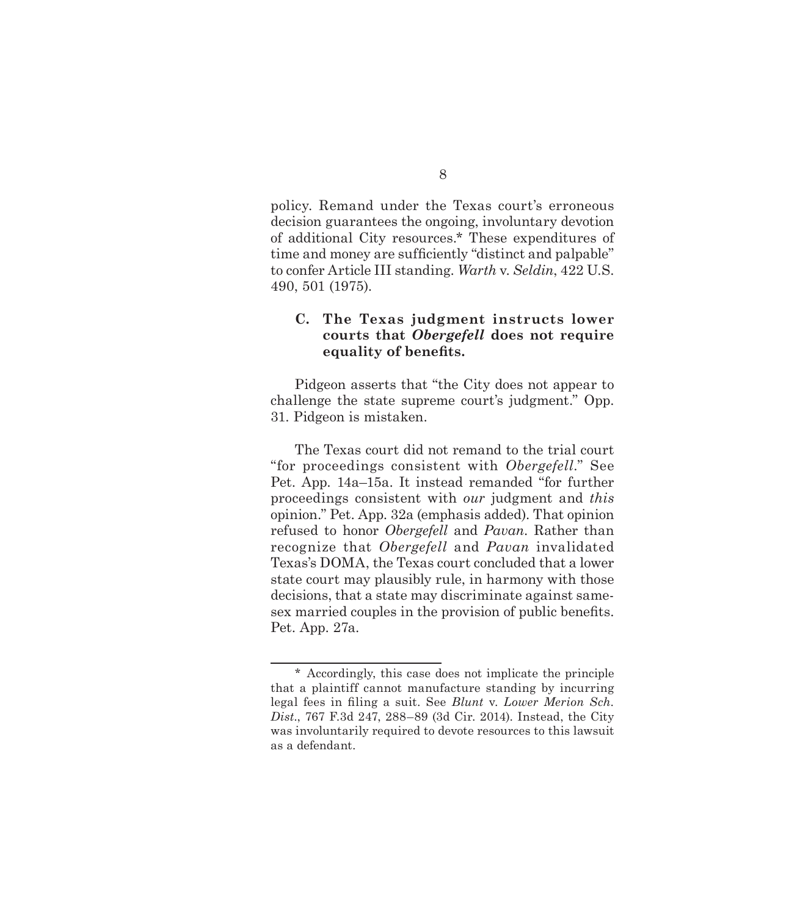<span id="page-12-0"></span>policy. Remand under the Texas court's erroneous decision guarantees the ongoing, involuntary devotion of additional City resources.\* These expenditures of time and money are sufficiently "distinct and palpable" to confer Article III standing. *Warth* v. *Seldin*, 422 U.S. 490, 501 (1975).

## **C. The Texas judgment instructs lower courts that** *Obergefell* **does not require equality of benefits.**

Pidgeon asserts that "the City does not appear to challenge the state supreme court's judgment." Opp. 31. Pidgeon is mistaken.

The Texas court did not remand to the trial court "for proceedings consistent with *Obergefell*." See Pet. App. 14a–15a. It instead remanded "for further proceedings consistent with *our* judgment and *this*  opinion." Pet. App. 32a (emphasis added). That opinion refused to honor *Obergefell* and *Pavan*. Rather than recognize that *Obergefell* and *Pavan* invalidated Texas's DOMA, the Texas court concluded that a lower state court may plausibly rule, in harmony with those decisions, that a state may discriminate against samesex married couples in the provision of public benefits. Pet. App. 27a.

8

<sup>\*</sup> Accordingly, this case does not implicate the principle that a plaintiff cannot manufacture standing by incurring legal fees in filing a suit. See *Blunt* v. *Lower Merion Sch. Dist*., 767 F.3d 247, 288–89 (3d Cir. 2014). Instead, the City was involuntarily required to devote resources to this lawsuit as a defendant.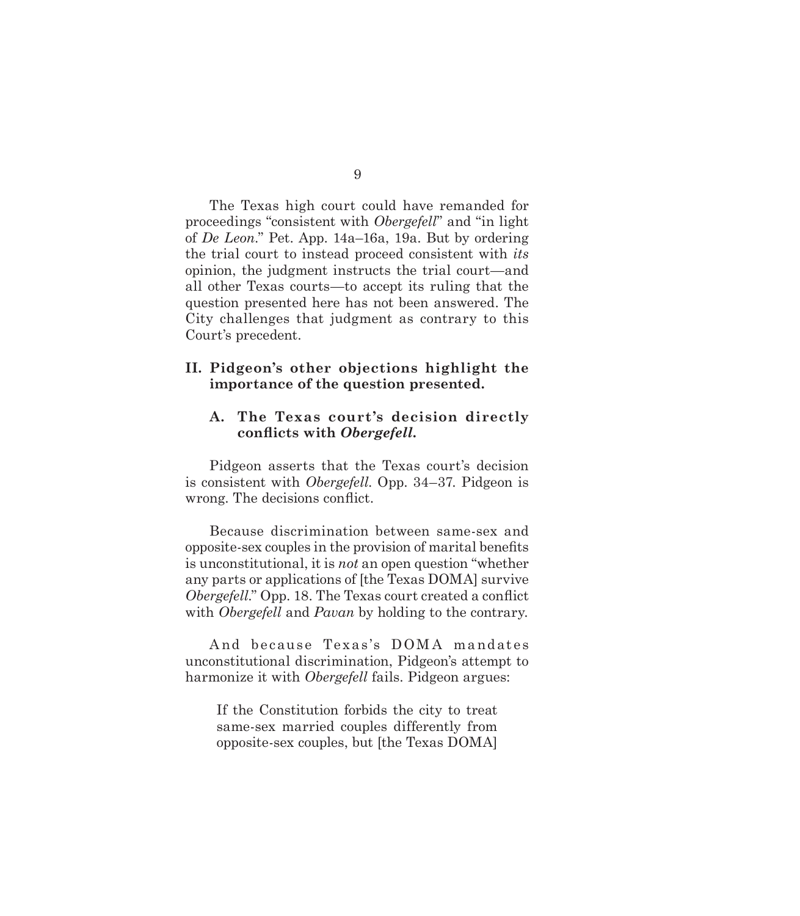9

<span id="page-13-0"></span>The Texas high court could have remanded for proceedings "consistent with *Obergefell*" and "in light of *De Leon*." Pet. App. 14a–16a, 19a. But by ordering the trial court to instead proceed consistent with *its* opinion, the judgment instructs the trial court—and all other Texas courts—to accept its ruling that the question presented here has not been answered. The City challenges that judgment as contrary to this Court's precedent.

## **II. Pidgeon's other objections highlight the importance of the question presented.**

## **A. The Texas court's decision directly conflicts with** *Obergefell.*

Pidgeon asserts that the Texas court's decision is consistent with *Obergefell*. Opp. 34–37. Pidgeon is wrong. The decisions conflict.

Because discrimination between same-sex and opposite-sex couples in the provision of marital benefits is unconstitutional, it is *not* an open question "whether any parts or applications of [the Texas DOMA] survive *Obergefell*." Opp. 18. The Texas court created a conflict with *Obergefell* and *Pavan* by holding to the contrary.

And because Texas's DOMA mandates unconstitutional discrimination, Pidgeon's attempt to harmonize it with *Obergefell* fails. Pidgeon argues:

If the Constitution forbids the city to treat same-sex married couples differently from opposite-sex couples, but [the Texas DOMA]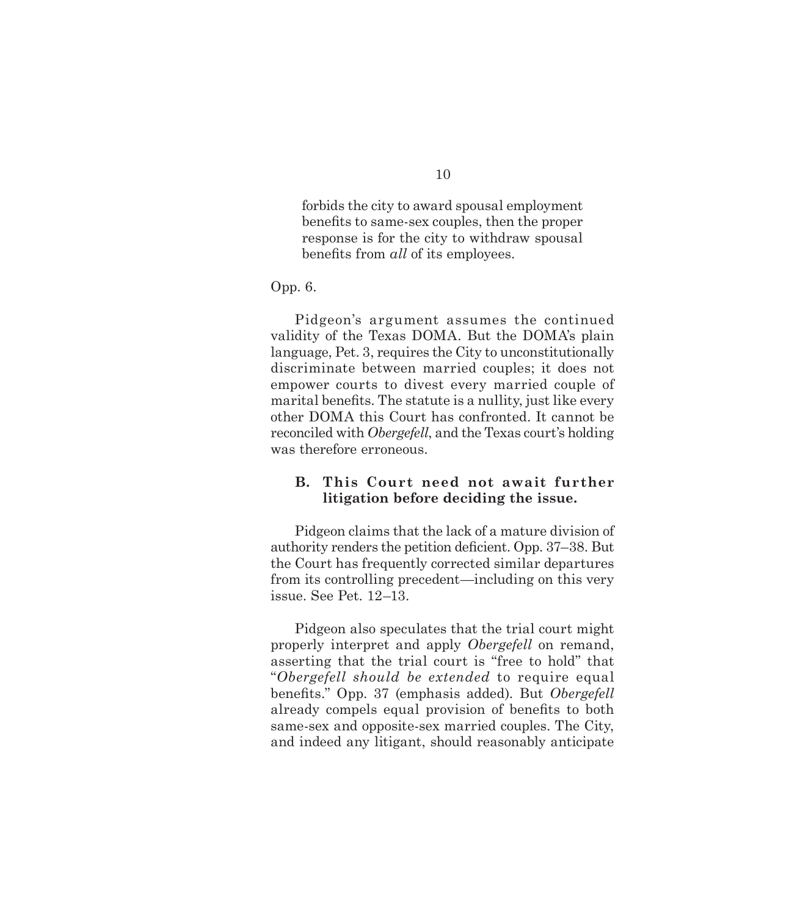<span id="page-14-0"></span>forbids the city to award spousal employment benefits to same-sex couples, then the proper response is for the city to withdraw spousal benefits from *all* of its employees.

Opp. 6.

Pidgeon's argument assumes the continued validity of the Texas DOMA. But the DOMA's plain language, Pet. 3, requires the City to unconstitutionally discriminate between married couples; it does not empower courts to divest every married couple of marital benefits. The statute is a nullity, just like every other DOMA this Court has confronted. It cannot be reconciled with *Obergefell*, and the Texas court's holding was therefore erroneous.

## **B. This Court need not await further litigation before deciding the issue.**

Pidgeon claims that the lack of a mature division of authority renders the petition deficient. Opp. 37–38. But the Court has frequently corrected similar departures from its controlling precedent—including on this very issue. See Pet. 12–13.

Pidgeon also speculates that the trial court might properly interpret and apply *Obergefell* on remand, asserting that the trial court is "free to hold" that "*Obergefell should be extended* to require equal benefits." Opp. 37 (emphasis added). But *Obergefell* already compels equal provision of benefits to both same-sex and opposite-sex married couples. The City, and indeed any litigant, should reasonably anticipate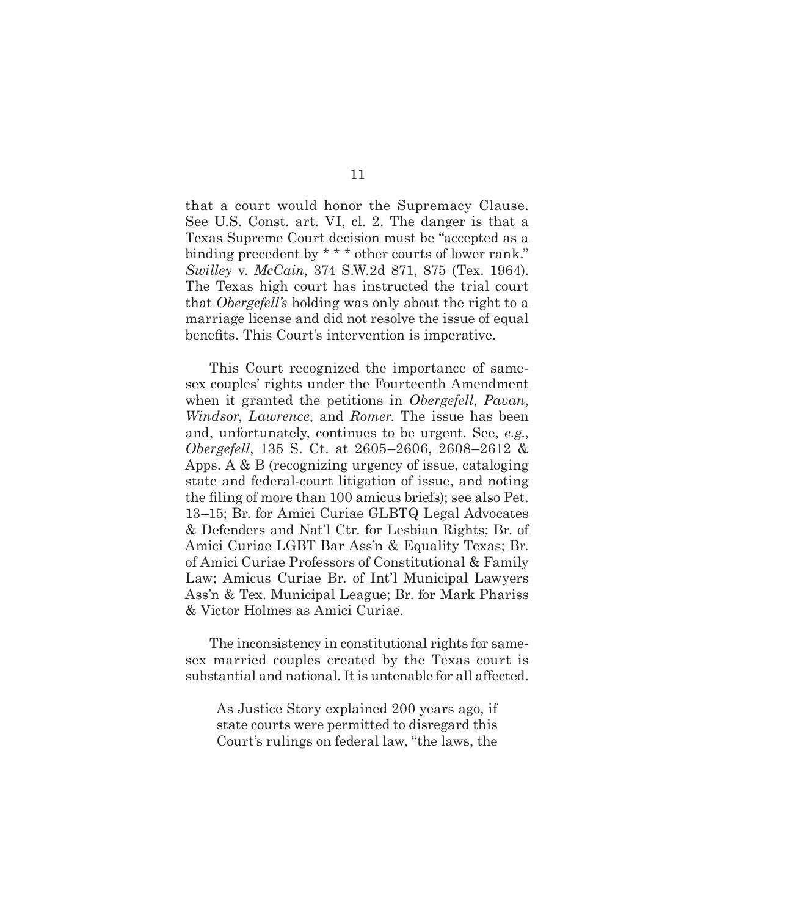that a court would honor the Supremacy Clause. See U.S. Const. art. VI, cl. 2. The danger is that a Texas Supreme Court decision must be "accepted as a binding precedent by \* \* \* other courts of lower rank." *Swilley* v. *McCain*, 374 S.W.2d 871, 875 (Tex. 1964). The Texas high court has instructed the trial court that *Obergefell's* holding was only about the right to a marriage license and did not resolve the issue of equal benefits. This Court's intervention is imperative.

This Court recognized the importance of samesex couples' rights under the Fourteenth Amendment when it granted the petitions in *Obergefell*, *Pavan*, *Windsor*, *Lawrence*, and *Romer*. The issue has been and, unfortunately, continues to be urgent. See, *e.g.*, *Obergefell*, 135 S. Ct. at 2605–2606, 2608–2612 & Apps. A & B (recognizing urgency of issue, cataloging state and federal-court litigation of issue, and noting the filing of more than 100 amicus briefs); see also Pet. 13–15; Br. for Amici Curiae GLBTQ Legal Advocates & Defenders and Nat'l Ctr. for Lesbian Rights; Br. of Amici Curiae LGBT Bar Ass'n & Equality Texas; Br. of Amici Curiae Professors of Constitutional & Family Law; Amicus Curiae Br. of Int'l Municipal Lawyers Ass'n & Tex. Municipal League; Br. for Mark Phariss & Victor Holmes as Amici Curiae.

The inconsistency in constitutional rights for samesex married couples created by the Texas court is substantial and national. It is untenable for all affected.

As Justice Story explained 200 years ago, if state courts were permitted to disregard this Court's rulings on federal law, "the laws, the